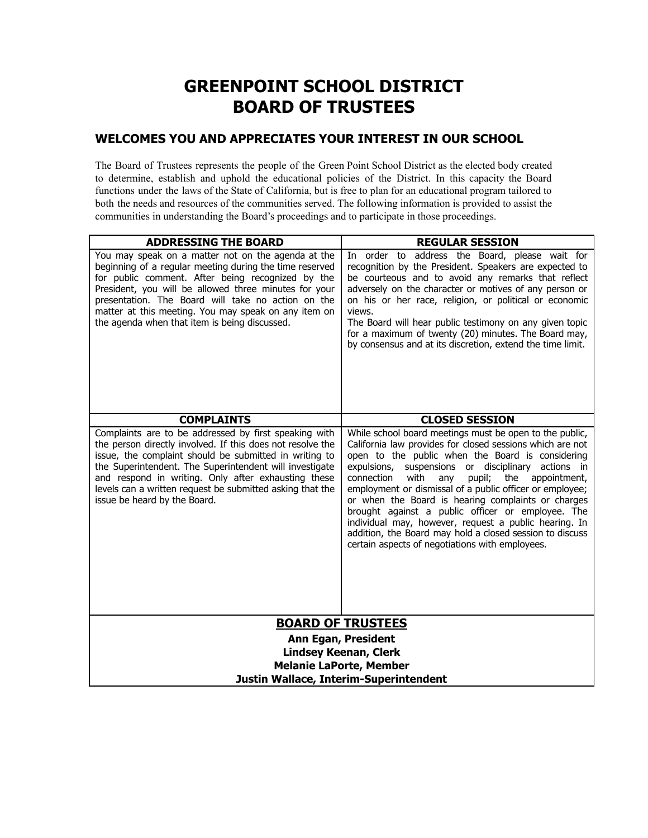# **GREENPOINT SCHOOL DISTRICT BOARD OF TRUSTEES**

# **WELCOMES YOU AND APPRECIATES YOUR INTEREST IN OUR SCHOOL**

The Board of Trustees represents the people of the Green Point School District as the elected body created to determine, establish and uphold the educational policies of the District. In this capacity the Board functions under the laws of the State of California, but is free to plan for an educational program tailored to both the needs and resources of the communities served. The following information is provided to assist the communities in understanding the Board's proceedings and to participate in those proceedings.

| <b>ADDRESSING THE BOARD</b>                                                                                                                                                                                                                                                                                                                                                                  | <b>REGULAR SESSION</b>                                                                                                                                                                                                                                                                                                                                                                                                                                                                                                                                                                                                                         |
|----------------------------------------------------------------------------------------------------------------------------------------------------------------------------------------------------------------------------------------------------------------------------------------------------------------------------------------------------------------------------------------------|------------------------------------------------------------------------------------------------------------------------------------------------------------------------------------------------------------------------------------------------------------------------------------------------------------------------------------------------------------------------------------------------------------------------------------------------------------------------------------------------------------------------------------------------------------------------------------------------------------------------------------------------|
| You may speak on a matter not on the agenda at the<br>beginning of a regular meeting during the time reserved<br>for public comment. After being recognized by the<br>President, you will be allowed three minutes for your<br>presentation. The Board will take no action on the<br>matter at this meeting. You may speak on any item on<br>the agenda when that item is being discussed.   | In order to address the Board, please wait for<br>recognition by the President. Speakers are expected to<br>be courteous and to avoid any remarks that reflect<br>adversely on the character or motives of any person or<br>on his or her race, religion, or political or economic<br>views.<br>The Board will hear public testimony on any given topic<br>for a maximum of twenty (20) minutes. The Board may,<br>by consensus and at its discretion, extend the time limit.                                                                                                                                                                  |
| <b>COMPLAINTS</b>                                                                                                                                                                                                                                                                                                                                                                            | <b>CLOSED SESSION</b>                                                                                                                                                                                                                                                                                                                                                                                                                                                                                                                                                                                                                          |
| Complaints are to be addressed by first speaking with<br>the person directly involved. If this does not resolve the<br>issue, the complaint should be submitted in writing to<br>the Superintendent. The Superintendent will investigate<br>and respond in writing. Only after exhausting these<br>levels can a written request be submitted asking that the<br>issue be heard by the Board. | While school board meetings must be open to the public,<br>California law provides for closed sessions which are not<br>open to the public when the Board is considering<br>expulsions,<br>suspensions or disciplinary actions in<br>connection<br>with<br>pupil;<br>the<br>appointment,<br>any<br>employment or dismissal of a public officer or employee;<br>or when the Board is hearing complaints or charges<br>brought against a public officer or employee. The<br>individual may, however, request a public hearing. In<br>addition, the Board may hold a closed session to discuss<br>certain aspects of negotiations with employees. |
| <b>BOARD OF TRUSTEES</b>                                                                                                                                                                                                                                                                                                                                                                     |                                                                                                                                                                                                                                                                                                                                                                                                                                                                                                                                                                                                                                                |
| <b>Ann Egan, President</b>                                                                                                                                                                                                                                                                                                                                                                   |                                                                                                                                                                                                                                                                                                                                                                                                                                                                                                                                                                                                                                                |
| <b>Lindsey Keenan, Clerk</b><br><b>Melanie LaPorte, Member</b>                                                                                                                                                                                                                                                                                                                               |                                                                                                                                                                                                                                                                                                                                                                                                                                                                                                                                                                                                                                                |
| Justin Wallace, Interim-Superintendent                                                                                                                                                                                                                                                                                                                                                       |                                                                                                                                                                                                                                                                                                                                                                                                                                                                                                                                                                                                                                                |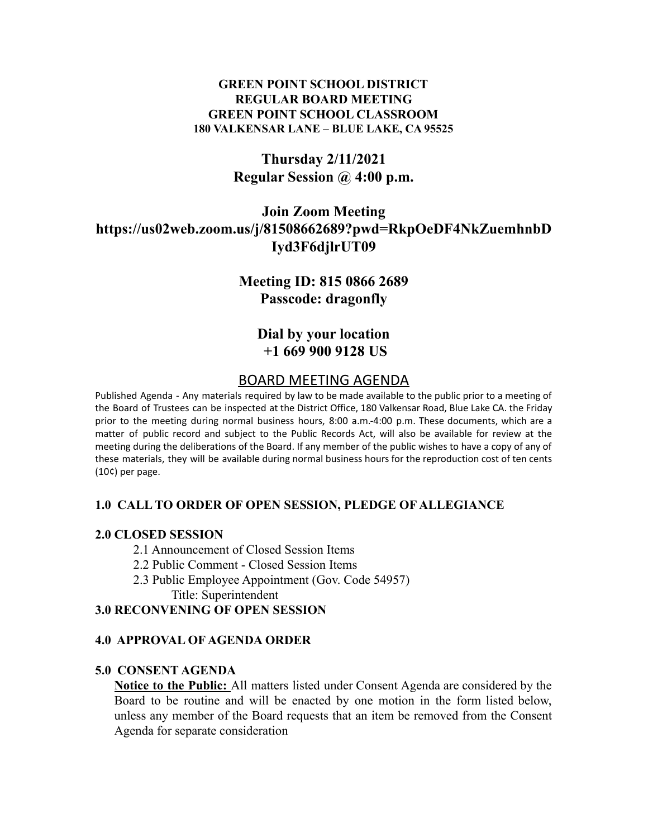### **GREEN POINT SCHOOL DISTRICT REGULAR BOARD MEETING GREEN POINT SCHOOL CLASSROOM 180 VALKENSAR LANE – BLUE LAKE, CA 95525**

# **Thursday 2/11/2021 Regular Session @ 4:00 p.m.**

# **Join Zoom Meeting https://us02web.zoom.us/j/81508662689?pwd=RkpOeDF4NkZuemhnbD Iyd3F6djlrUT09**

# **Meeting ID: 815 0866 2689 Passcode: dragonfly**

# **Dial by your location +1 669 900 9128 US**

## BOARD MEETING AGENDA

Published Agenda - Any materials required by law to be made available to the public prior to a meeting of the Board of Trustees can be inspected at the District Office, 180 Valkensar Road, Blue Lake CA. the Friday prior to the meeting during normal business hours, 8:00 a.m.-4:00 p.m. These documents, which are a matter of public record and subject to the Public Records Act, will also be available for review at the meeting during the deliberations of the Board. If any member of the public wishes to have a copy of any of these materials, they will be available during normal business hours for the reproduction cost of ten cents (10¢) per page.

### **1.0 CALL TO ORDER OF OPEN SESSION, PLEDGE OF ALLEGIANCE**

#### **2.0 CLOSED SESSION**

- 2.1 Announcement of Closed Session Items
- 2.2 Public Comment Closed Session Items
- 2.3 Public Employee Appointment (Gov. Code 54957) Title: Superintendent

#### **3.0 RECONVENING OF OPEN SESSION**

#### **4.0 APPROVAL OF AGENDA ORDER**

#### **5.0 CONSENT AGENDA**

**Notice to the Public:** All matters listed under Consent Agenda are considered by the Board to be routine and will be enacted by one motion in the form listed below, unless any member of the Board requests that an item be removed from the Consent Agenda for separate consideration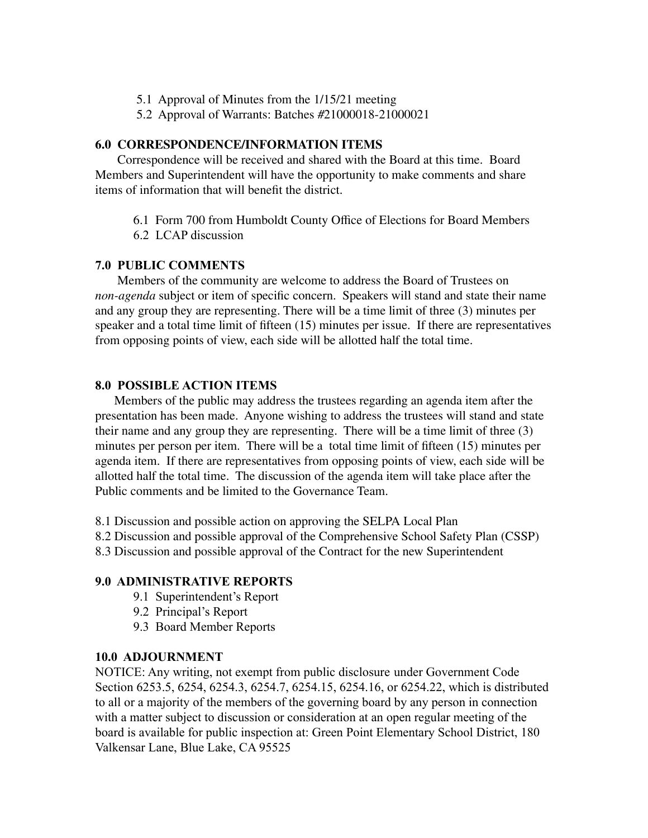- 5.1 Approval of Minutes from the 1/15/21 meeting
- 5.2 Approval of Warrants: Batches #21000018-21000021

#### **6.0 CORRESPONDENCE/INFORMATION ITEMS**

Correspondence will be received and shared with the Board at this time. Board Members and Superintendent will have the opportunity to make comments and share items of information that will benefit the district.

- 6.1 Form 700 from Humboldt County Office of Elections for Board Members
- 6.2 LCAP discussion

### **7.0 PUBLIC COMMENTS**

Members of the community are welcome to address the Board of Trustees on *non-agenda* subject or item of specific concern. Speakers will stand and state their name and any group they are representing. There will be a time limit of three (3) minutes per speaker and a total time limit of fifteen (15) minutes per issue. If there are representatives from opposing points of view, each side will be allotted half the total time.

### **8.0 POSSIBLE ACTION ITEMS**

Members of the public may address the trustees regarding an agenda item after the presentation has been made. Anyone wishing to address the trustees will stand and state their name and any group they are representing. There will be a time limit of three (3) minutes per person per item. There will be a total time limit of fifteen (15) minutes per agenda item. If there are representatives from opposing points of view, each side will be allotted half the total time. The discussion of the agenda item will take place after the Public comments and be limited to the Governance Team.

8.1 Discussion and possible action on approving the SELPA Local Plan

8.2 Discussion and possible approval of the Comprehensive School Safety Plan (CSSP)

8.3 Discussion and possible approval of the Contract for the new Superintendent

#### **9.0 ADMINISTRATIVE REPORTS**

- 9.1 Superintendent's Report
- 9.2 Principal's Report
- 9.3 Board Member Reports

#### **10.0 ADJOURNMENT**

NOTICE: Any writing, not exempt from public disclosure under Government Code Section 6253.5, 6254, 6254.3, 6254.7, 6254.15, 6254.16, or 6254.22, which is distributed to all or a majority of the members of the governing board by any person in connection with a matter subject to discussion or consideration at an open regular meeting of the board is available for public inspection at: Green Point Elementary School District, 180 Valkensar Lane, Blue Lake, CA 95525